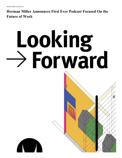## **Herman Miller Announces First Ever Podcast Focused On the Future of Work**

## Looking > Forward